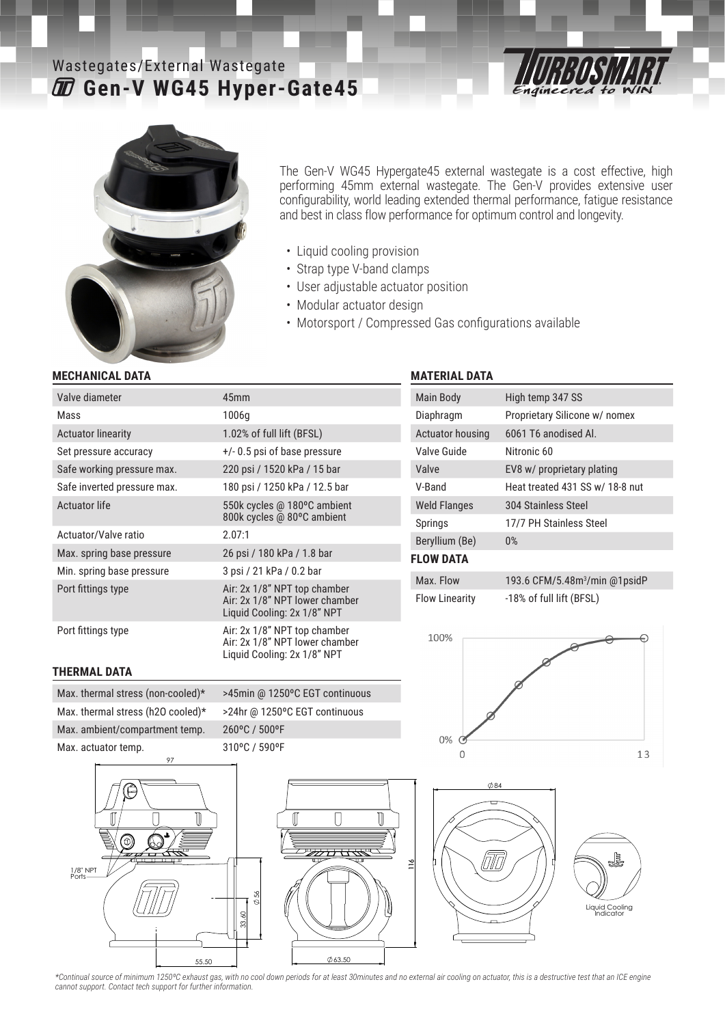# **Gen-V WG45 Hyper-Gate45** Wastegates/External Wastegate





The Gen-V WG45 Hypergate45 external wastegate is a cost effective, high performing 45mm external wastegate. The Gen-V provides extensive user configurability, world leading extended thermal performance, fatigue resistance and best in class flow performance for optimum control and longevity.

- Liquid cooling provision
- Strap type V-band clamps
- User adjustable actuator position
- Modular actuator design
- Motorsport / Compressed Gas configurations available

#### **MECHANICAL DATA**

| Valve diameter              | 45 <sub>mm</sub>                                                                              |
|-----------------------------|-----------------------------------------------------------------------------------------------|
| Mass                        | 1006q                                                                                         |
| <b>Actuator linearity</b>   | 1.02% of full lift (BFSL)                                                                     |
| Set pressure accuracy       | $+/- 0.5$ psi of base pressure                                                                |
| Safe working pressure max.  | 220 psi / 1520 kPa / 15 bar                                                                   |
| Safe inverted pressure max. | 180 psi / 1250 kPa / 12.5 bar                                                                 |
| Actuator life               | 550k cycles @ 180°C ambient<br>800k cycles @ 80°C ambient                                     |
| Actuator/Valve ratio        | 2.07:1                                                                                        |
| Max. spring base pressure   | 26 psi / 180 kPa / 1.8 bar                                                                    |
| Min. spring base pressure   | 3 psi / 21 kPa / 0.2 bar                                                                      |
| Port fittings type          | Air: 2x 1/8" NPT top chamber<br>Air: 2x 1/8" NPT lower chamber<br>Liquid Cooling: 2x 1/8" NPT |
| Port fittings type          | Air: 2x 1/8" NPT top chamber<br>Air: 2x 1/8" NPT lower chamber<br>Liquid Cooling: 2x 1/8" NPT |

#### **MATERIAL DATA**

| Main Body           | High temp 347 SS                |
|---------------------|---------------------------------|
| Diaphragm           | Proprietary Silicone w/ nomex   |
| Actuator housing    | 6061 T6 anodised Al.            |
| Valve Guide         | Nitronic 60                     |
| Valve               | EV8 w/ proprietary plating      |
| V-Band              | Heat treated 431 SS w/ 18-8 nut |
| <b>Weld Flanges</b> | 304 Stainless Steel             |
| Springs             | 17/7 PH Stainless Steel         |
| Beryllium (Be)      | 0%                              |
| <b>FLOW DATA</b>    |                                 |

| Max. Flow             | 193.6 CFM/5.48m <sup>3</sup> /m |
|-----------------------|---------------------------------|
| <b>Flow Linearity</b> | -18% of full lift (BFSL)        |









# Max. thermal stress (non-cooled)\* >45min @ 1250°C EGT continuous Max. thermal stress (h2O cooled)\* >24hr @ 1250°C EGT continuous Max. ambient/compartment temp. 260°C / 500°F Max. actuator temp. 310°C / 590°F

**THERMAL DATA**





*\*Continual source of minimum 1250ºC exhaust gas, with no cool down periods for at least 30minutes and no external air cooling on actuator, this is a destructive test that an ICE engine cannot support. Contact tech support for further information.*